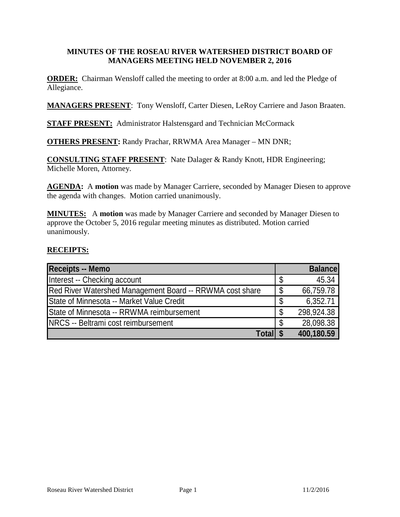### **MINUTES OF THE ROSEAU RIVER WATERSHED DISTRICT BOARD OF MANAGERS MEETING HELD NOVEMBER 2, 2016**

**ORDER:** Chairman Wensloff called the meeting to order at 8:00 a.m. and led the Pledge of Allegiance.

**MANAGERS PRESENT**: Tony Wensloff, Carter Diesen, LeRoy Carriere and Jason Braaten.

**STAFF PRESENT:** Administrator Halstensgard and Technician McCormack

**OTHERS PRESENT:** Randy Prachar, RRWMA Area Manager – MN DNR;

**CONSULTING STAFF PRESENT**: Nate Dalager & Randy Knott, HDR Engineering; Michelle Moren, Attorney.

**AGENDA:** A **motion** was made by Manager Carriere, seconded by Manager Diesen to approve the agenda with changes. Motion carried unanimously.

**MINUTES:** A **motion** was made by Manager Carriere and seconded by Manager Diesen to approve the October 5, 2016 regular meeting minutes as distributed. Motion carried unanimously.

### **RECEIPTS:**

| <b>Receipts -- Memo</b>                                  |    | <b>Balance</b> |
|----------------------------------------------------------|----|----------------|
| Interest -- Checking account                             |    | 45.34          |
| Red River Watershed Management Board -- RRWMA cost share |    | 66,759.78      |
| State of Minnesota -- Market Value Credit                | \$ | 6,352.71       |
| State of Minnesota -- RRWMA reimbursement                | S  | 298,924.38     |
| <b>INRCS -- Beltrami cost reimbursement</b>              | S  | 28,098.38      |
| <b>Totall \$</b>                                         |    | 400,180.59     |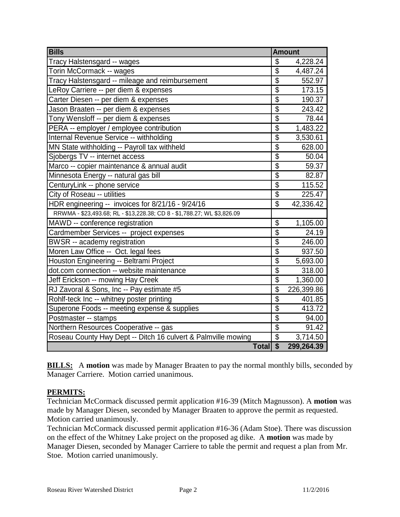| <b>Bills</b>                                                            | <b>Amount</b>             |            |
|-------------------------------------------------------------------------|---------------------------|------------|
| Tracy Halstensgard -- wages                                             | \$                        | 4,228.24   |
| Torin McCormack -- wages                                                | \$                        | 4,487.24   |
| Tracy Halstensgard -- mileage and reimbursement                         | $\overline{\$}$           | 552.97     |
| LeRoy Carriere -- per diem & expenses                                   | $\overline{\$}$           | 173.15     |
| Carter Diesen -- per diem & expenses                                    | $\overline{\mathbb{S}}$   | 190.37     |
| Jason Braaten -- per diem & expenses                                    | $\overline{\$}$           | 243.42     |
| Tony Wensloff -- per diem & expenses                                    | $\overline{\$}$           | 78.44      |
| PERA -- employer / employee contribution                                | \$                        | 1,483.22   |
| Internal Revenue Service -- withholding                                 | $\overline{\$}$           | 3,530.61   |
| MN State withholding -- Payroll tax withheld                            | $\overline{\$}$           | 628.00     |
| Sjobergs TV -- internet access                                          | $\overline{\$}$           | 50.04      |
| Marco -- copier maintenance & annual audit                              | $\overline{\mathcal{S}}$  | 59.37      |
| Minnesota Energy -- natural gas bill                                    | $\overline{\$}$           | 82.87      |
| CenturyLink -- phone service                                            | $\overline{\$}$           | 115.52     |
| City of Roseau -- utilities                                             | $\overline{\$}$           | 225.47     |
| HDR engineering -- invoices for 8/21/16 - 9/24/16                       | $\overline{\mathcal{S}}$  | 42,336.42  |
| RRWMA - \$23,493.68; RL - \$13,228.38; CD 8 - \$1,788.27; WL \$3,826.09 |                           |            |
| MAWD -- conference registration                                         | \$                        | 1,105.00   |
| Cardmember Services -- project expenses                                 | $\overline{\mathbb{S}}$   | 24.19      |
| BWSR -- academy registration                                            | $\overline{\$}$           | 246.00     |
| Moren Law Office -- Oct. legal fees                                     | $\overline{\$}$           | 937.50     |
| Houston Engineering -- Beltrami Project                                 | $\overline{\$}$           | 5,693.00   |
| dot.com connection -- website maintenance                               | $\overline{\$}$           | 318.00     |
| Jeff Erickson -- mowing Hay Creek                                       | $\overline{\$}$           | 1,360.00   |
| RJ Zavoral & Sons, Inc -- Pay estimate #5                               | $\overline{\$}$           | 226,399.86 |
| Rohlf-teck Inc -- whitney poster printing                               | $\overline{\mathfrak{s}}$ | 401.85     |
| Superone Foods -- meeting expense & supplies                            | $\overline{\$}$           | 413.72     |
| Postmaster -- stamps                                                    | $\overline{\$}$           | 94.00      |
| Northern Resources Cooperative -- gas                                   | $\overline{\$}$           | 91.42      |
| Roseau County Hwy Dept -- Ditch 16 culvert & Palmville mowing           | $\overline{\mathcal{S}}$  | 3,714.50   |
| Total \$                                                                |                           | 299,264.39 |

**BILLS:** A motion was made by Manager Braaten to pay the normal monthly bills, seconded by Manager Carriere. Motion carried unanimous.

## **PERMITS:**

Technician McCormack discussed permit application #16-39 (Mitch Magnusson). A **motion** was made by Manager Diesen, seconded by Manager Braaten to approve the permit as requested. Motion carried unanimously.

Technician McCormack discussed permit application #16-36 (Adam Stoe). There was discussion on the effect of the Whitney Lake project on the proposed ag dike. A **motion** was made by Manager Diesen, seconded by Manager Carriere to table the permit and request a plan from Mr. Stoe. Motion carried unanimously.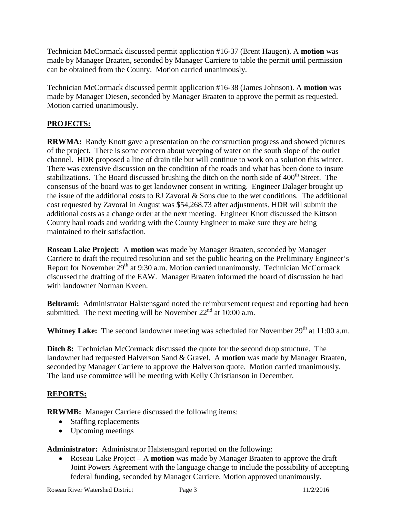Technician McCormack discussed permit application #16-37 (Brent Haugen). A **motion** was made by Manager Braaten, seconded by Manager Carriere to table the permit until permission can be obtained from the County. Motion carried unanimously.

Technician McCormack discussed permit application #16-38 (James Johnson). A **motion** was made by Manager Diesen, seconded by Manager Braaten to approve the permit as requested. Motion carried unanimously.

# **PROJECTS:**

**RRWMA:** Randy Knott gave a presentation on the construction progress and showed pictures of the project. There is some concern about weeping of water on the south slope of the outlet channel. HDR proposed a line of drain tile but will continue to work on a solution this winter. There was extensive discussion on the condition of the roads and what has been done to insure stabilizations. The Board discussed brushing the ditch on the north side of  $400<sup>th</sup>$  Street. The consensus of the board was to get landowner consent in writing. Engineer Dalager brought up the issue of the additional costs to RJ Zavoral & Sons due to the wet conditions. The additional cost requested by Zavoral in August was \$54,268.73 after adjustments. HDR will submit the additional costs as a change order at the next meeting. Engineer Knott discussed the Kittson County haul roads and working with the County Engineer to make sure they are being maintained to their satisfaction.

**Roseau Lake Project:** A **motion** was made by Manager Braaten, seconded by Manager Carriere to draft the required resolution and set the public hearing on the Preliminary Engineer's Report for November  $29<sup>th</sup>$  at 9:30 a.m. Motion carried unanimously. Technician McCormack discussed the drafting of the EAW. Manager Braaten informed the board of discussion he had with landowner Norman Kveen.

**Beltrami:** Administrator Halstensgard noted the reimbursement request and reporting had been submitted. The next meeting will be November  $22<sup>nd</sup>$  at 10:00 a.m.

**Whitney Lake:** The second landowner meeting was scheduled for November 29<sup>th</sup> at 11:00 a.m.

**Ditch 8:** Technician McCormack discussed the quote for the second drop structure. The landowner had requested Halverson Sand & Gravel. A **motion** was made by Manager Braaten, seconded by Manager Carriere to approve the Halverson quote. Motion carried unanimously. The land use committee will be meeting with Kelly Christianson in December.

## **REPORTS:**

**RRWMB:** Manager Carriere discussed the following items:

- Staffing replacements
- Upcoming meetings

**Administrator:** Administrator Halstensgard reported on the following:

• Roseau Lake Project – A **motion** was made by Manager Braaten to approve the draft Joint Powers Agreement with the language change to include the possibility of accepting federal funding, seconded by Manager Carriere. Motion approved unanimously.